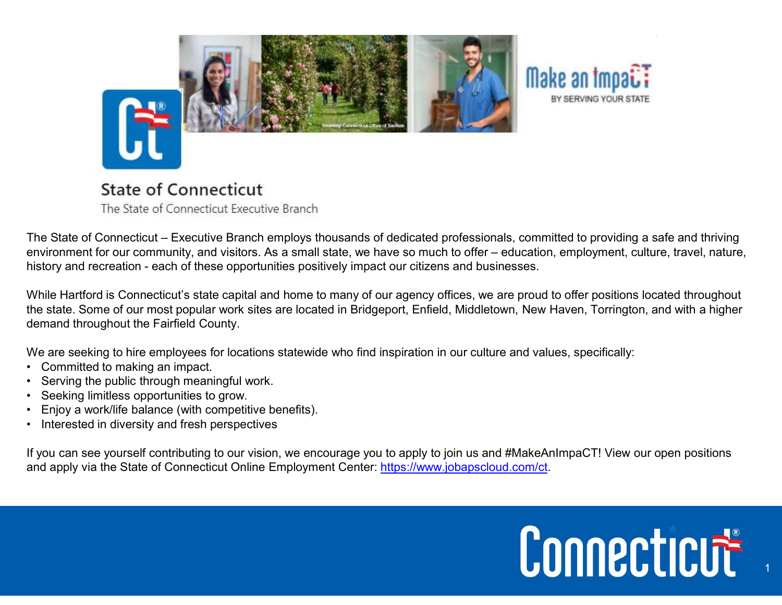

demand throughout the Fairfield County. **State of Connecticut**<br>
The State of Connecticut Executive Branch<br>
The State of Connecticut – Executive Branch employs thousand<br>
environment for our community, and visitors. As a small state, whistory and recreation - each **State of Connecticut**<br>
The State of Connecticut Executive Branch<br>
The State of Connecticut – Executive Branch employs thousands of decenvironment for our community, and visitors. As a small state, we have entistory and re **State of Connecticut**<br>
The State of Connecticut Executive Branch<br>
The State of Connecticut – Executive Branch employs thousands of dedicate<br>
environment for our community, and visitors. As a small state, we have so multis

We are seeking to hire employees for locations statewide who find inspiration in our culture and values, specifically:

- 
- 
- 
- 
- 

If you can see yourself contributing to our vision, we encourage you to apply to join us and #MakeAnImpaCT! View our open positions and apply via the State of Connecticut Online Employment Center: https://www.jobapscloud.com/ct.

## Connecticut

1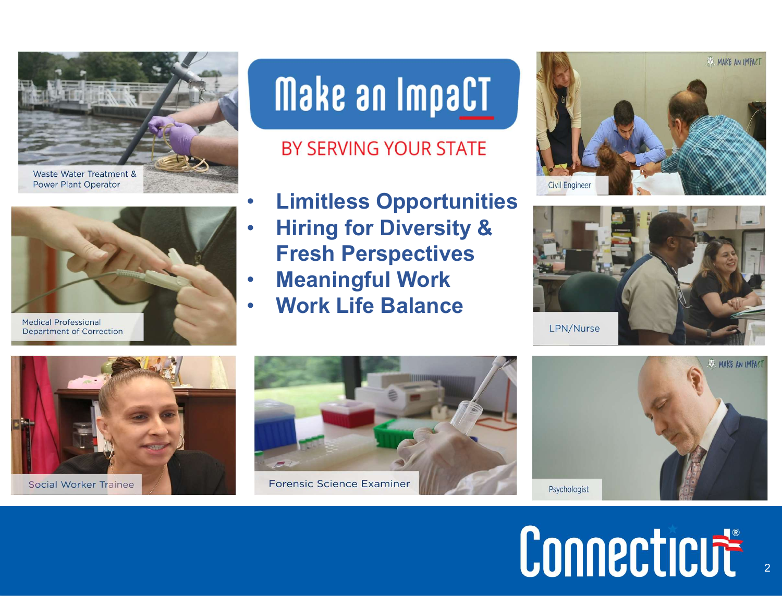



**Department of Correction** 

## Make an ImpaCT

### BY SERVING YOUR STATE

- **Limitless Opportunities**
- **Hiring for Diversity &** Fresh Perspectives
- **Meaningful Work**
- Work Life Balance













# Connecticut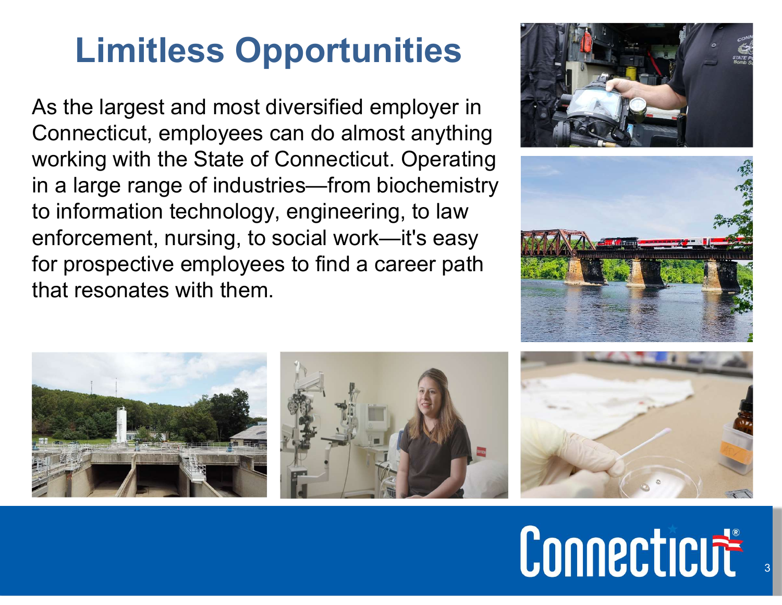### Limitless Opportunities

As the largest and most diversified employer in Connecticut, employees can do almost anything working with the State of Connecticut. Operating in a large range of industries—from biochemistry to information technology, engineering, to law enforcement, nursing, to social work—it's easy for prospective employees to find a career path that resonates with them.











Connecticut

3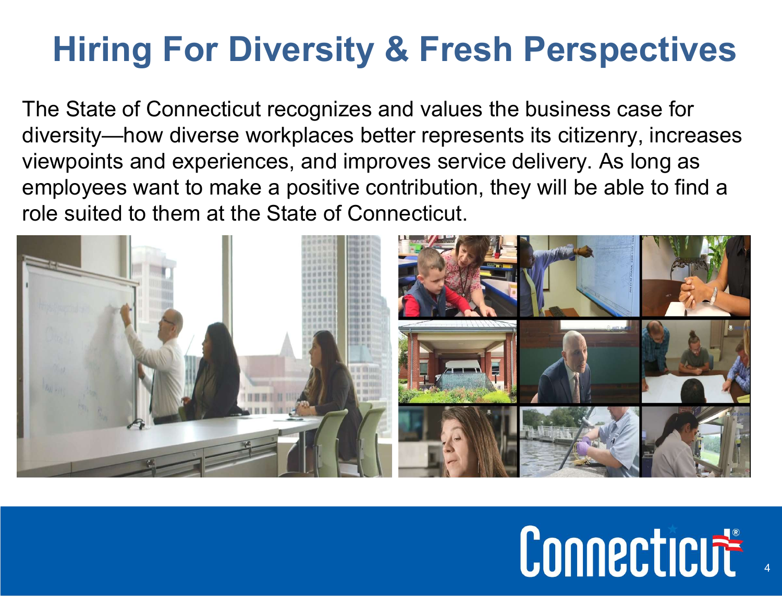### Hiring For Diversity & Fresh Perspectives

The State of Connecticut recognizes and values the business case for diversity—how diverse workplaces better represents its citizenry, increases viewpoints and experiences, and improves service delivery. As long as employees want to make a positive contribution, they will be able to find a role suited to them at the State of Connecticut.



4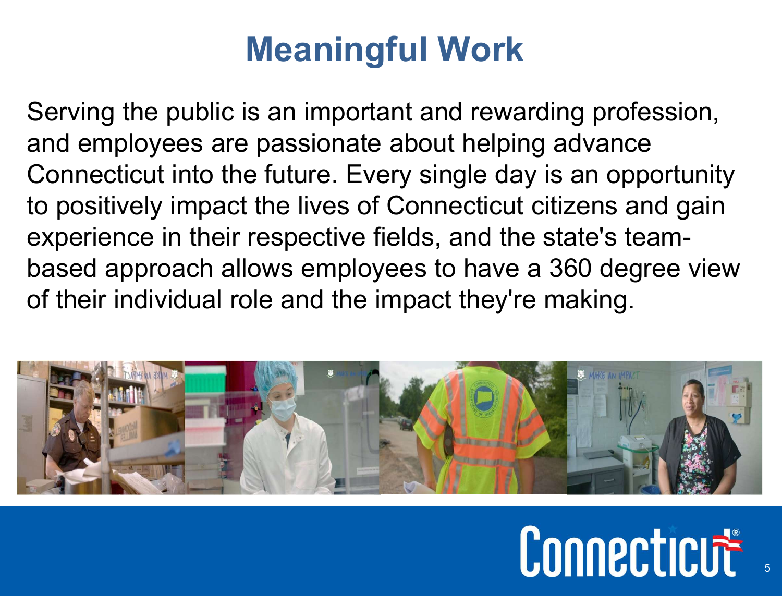### Meaningful Work

Serving the public is an important and rewarding profession, and employees are passionate about helping advance Connecticut into the future. Every single day is an opportunity to positively impact the lives of Connecticut citizens and gain experience in their respective fields, and the state's teambased approach allows employees to have a 360 degree view of their individual role and the impact they're making.



## Connecticut